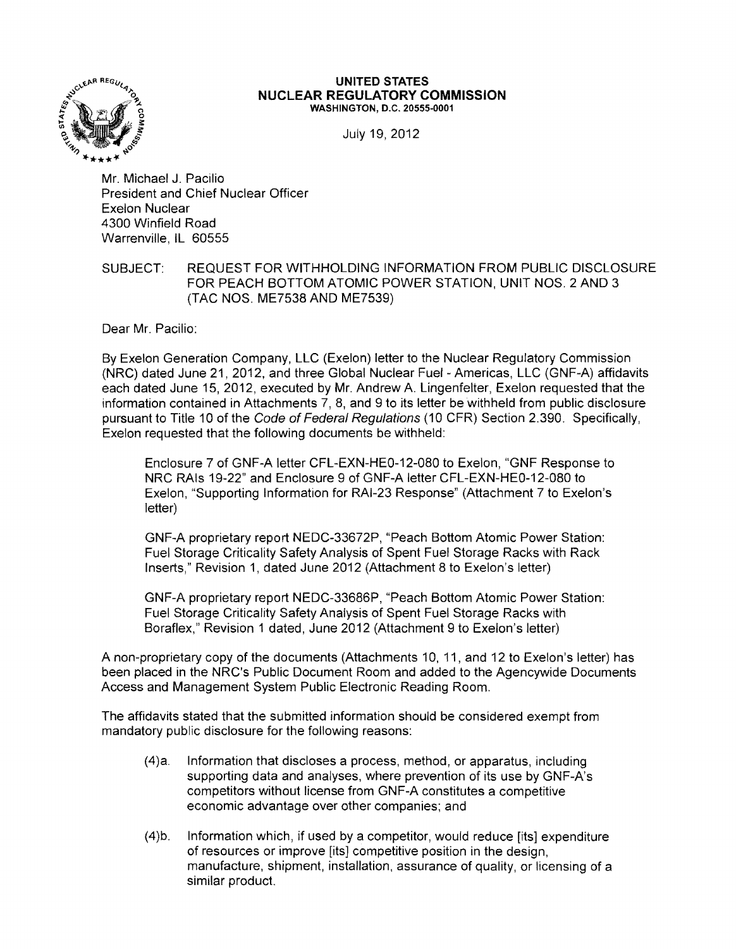

## **UNITED STATES NUCLEAR REGULATORY COMMISSION** WASHINGTON, D.C. 20555-0001

July 19, 2012

Mr. Michael J. Pacilio President and Chief Nuclear Officer Exelon Nuclear 4300 Winfield Road Warrenville, IL 60555

## SUBJECT: REQUEST FOR WITHHOLDING INFORMATION FROM PUBLIC DISCLOSURE FOR PEACH BOTTOM ATOMIC POWER STATION, UNIT NOS. 2 AND 3 (TAC NOS. ME7538 AND ME7539)

Dear Mr. Pacilio:

By Exelon Generation Company, LLC (Exelon) letter to the Nuclear Regulatory Commission (NRC) dated June 21, 2012, and three Global Nuclear Fuel - Americas, LLC (GNF-A) affidavits each dated June 15, 2012, executed by Mr. Andrew A. Lingenfelter, Exelon requested that the information contained in Attachments 7, 8, and 9 to its letter be withheld from public disclosure pursuant to Title 10 of the Code of Federal Regulations (10 CFR) Section 2.390. Specifically, Exelon requested that the following documents be withheld:

Enclosure 7 of GNF-A letter CFL-EXN-HEO-12-080 to Exelon, "GNF Response to NRC RAls 19-22" and Enclosure 9 of GNF-A letter CFL-EXN-HEO-12-080 to Exelon, "Supporting Information for RAI-23 Response" (Attachment 7 to Exelon's letter)

GNF-A proprietary report NEDC-33672P, "Peach Bottom Atomic Power Station: Fuel Storage Criticality Safety Analysis of Spent Fuel Storage Racks with Rack Inserts," Revision 1, dated June 2012 (Attachment 8 to Exelon's letter)

GNF-A proprietary report NEDC-33686P, "Peach Bottom Atomic Power Station: Fuel Storage Criticality Safety Analysis of Spent Fuel Storage Racks with Boraflex," Revision 1 dated, June 2012 (Attachment 9 to Exelon's letter)

A non-proprietary copy of the documents (Attachments 10, 11, and 12 to Exelon's letter) has been placed in the NRC's Public Document Room and added to the Agencywide Documents Access and Management System Public Electronic Reading Room.

The affidavits stated that the submitted information should be considered exempt from mandatory public disclosure for the following reasons:

- (4)a. Information that discloses a process, method, or apparatus, including supporting data and analyses, where prevention of its use by GNF-A's competitors without license from GNF-A constitutes a competitive economic advantage over other companies; and
- (4)b. Information which, if used by a competitor, would reduce [its] expenditure of resources or improve [its] competitive position in the design, manufacture, shipment, installation, assurance of quality, or licensing of a similar product.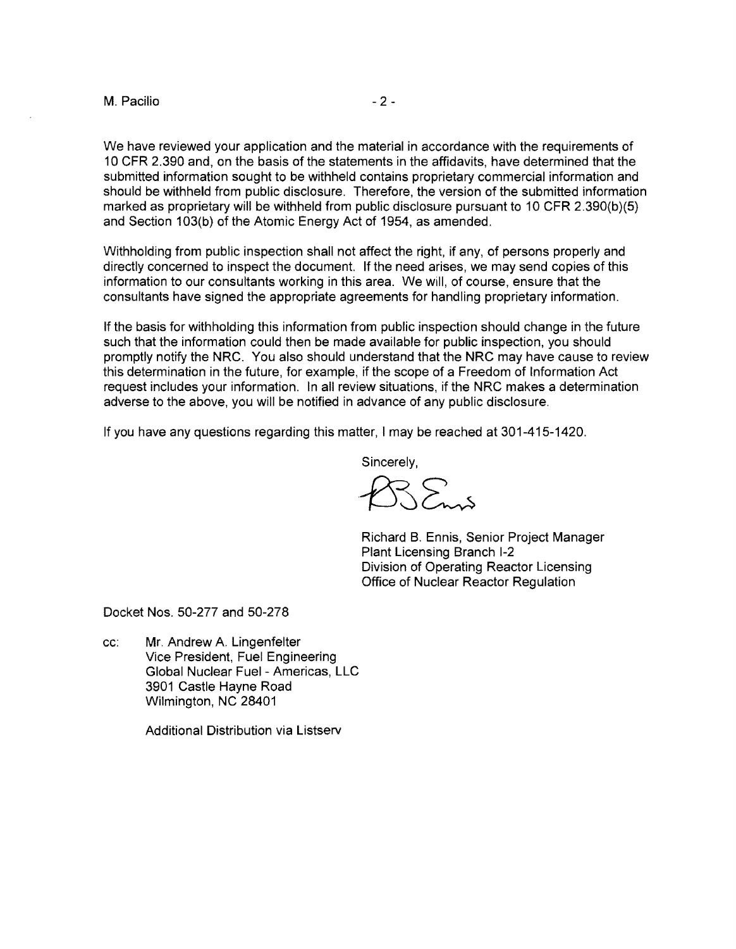M. Pacilio and the set of the set of the set of the set of the set of the set of the set of the set of the set of the set of the set of the set of the set of the set of the set of the set of the set of the set of the set o

We have reviewed your application and the material in accordance with the requirements of 10 CFR 2.390 and, on the basis of the statements in the affidavits, have determined that the submitted information sought to be withheld contains proprietary commercial information and should be withheld from public disclosure. Therefore, the version of the submitted information marked as proprietary will be withheld from public disclosure pursuant to 10 CFR 2.390(b)(5) and Section 103(b) of the Atomic Energy Act of 1954, as amended.

Withholding from public inspection shall not affect the right, if any, of persons properly and directly concerned to inspect the document. If the need arises, we may send copies of this information to our consultants working in this area. We will, of course, ensure that the consultants have signed the appropriate agreements for handling proprietary information.

If the basis for withholding this information from public inspection should change in the future such that the information could then be made available for public inspection, you should promptly notify the NRC. You also should understand that the NRC may have cause to review this determination in the future, for example, if the scope of a Freedom of Information Act request includes your information. In all review situations, if the NRC makes a determination adverse to the above, you will be notified in advance of any public disclosure.

If you have any questions regarding this matter, I may be reached at 301-415-1420.

Sincerely,

 $\sum_{n=1}^{\infty}$ 

Richard B. Ennis, Senior Project Manager Plant Licensing Branch 1-2 Division of Operating Reactor Licensing Office of Nuclear Reactor Regulation

Docket Nos. 50-277 and 50-278

cc: Mr. Andrew A. Lingenfelter Vice President, Fuel Engineering Global Nuclear Fuel - Americas, LLC 3901 Castle Hayne Road Wilmington, NC 28401

Additional Distribution via Listserv